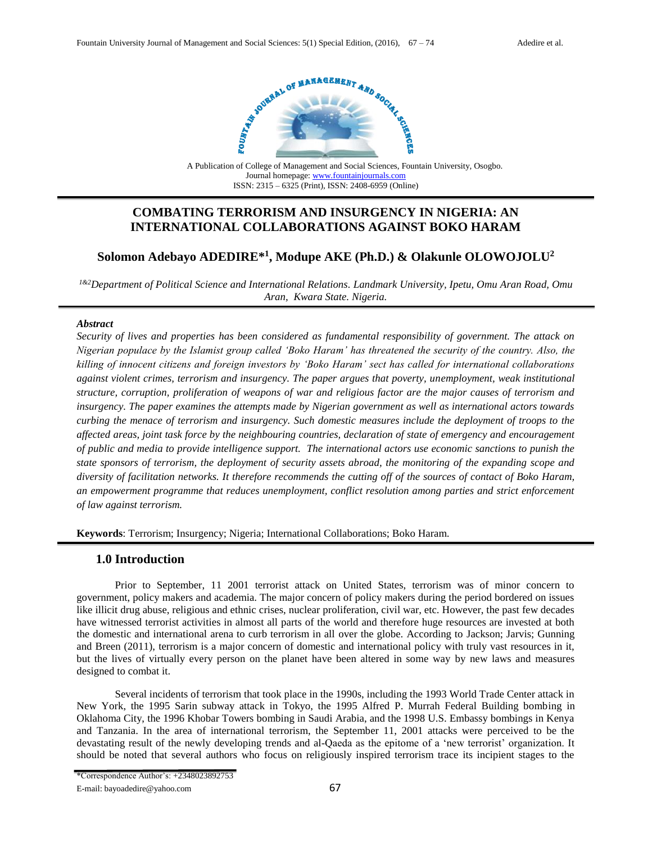

A Publication of College of Management and Social Sciences, Fountain University, Osogbo. Journal homepage[: www.fountainjournals.com](http://www.fountainjournals.com/) ISSN: 2315 – 6325 (Print), ISSN: 2408-6959 (Online)

# **COMBATING TERRORISM AND INSURGENCY IN NIGERIA: AN INTERNATIONAL COLLABORATIONS AGAINST BOKO HARAM**

# **Solomon Adebayo ADEDIRE\* 1 , Modupe AKE (Ph.D.) & Olakunle OLOWOJOLU<sup>2</sup>**

*1&2Department of Political Science and International Relations. Landmark University, Ipetu, Omu Aran Road, Omu Aran, Kwara State. Nigeria.*

#### *Abstract*

*Security of lives and properties has been considered as fundamental responsibility of government. The attack on Nigerian populace by the Islamist group called 'Boko Haram' has threatened the security of the country. Also, the killing of innocent citizens and foreign investors by 'Boko Haram' sect has called for international collaborations against violent crimes, terrorism and insurgency. The paper argues that poverty, unemployment, weak institutional structure, corruption, proliferation of weapons of war and religious factor are the major causes of terrorism and insurgency. The paper examines the attempts made by Nigerian government as well as international actors towards curbing the menace of terrorism and insurgency. Such domestic measures include the deployment of troops to the affected areas, joint task force by the neighbouring countries, declaration of state of emergency and encouragement of public and media to provide intelligence support. The international actors use economic sanctions to punish the state sponsors of terrorism, the deployment of security assets abroad, the monitoring of the expanding scope and diversity of facilitation networks. It therefore recommends the cutting off of the sources of contact of Boko Haram, an empowerment programme that reduces unemployment, conflict resolution among parties and strict enforcement of law against terrorism.* 

**Keywords**: Terrorism; Insurgency; Nigeria; International Collaborations; Boko Haram.

## **1.0 Introduction**

Prior to September, 11 2001 terrorist attack on United States, terrorism was of minor concern to government, policy makers and academia. The major concern of policy makers during the period bordered on issues like illicit drug abuse, religious and ethnic crises, nuclear proliferation, civil war, etc. However, the past few decades have witnessed terrorist activities in almost all parts of the world and therefore huge resources are invested at both the domestic and international arena to curb terrorism in all over the globe. According to Jackson; Jarvis; Gunning and Breen (2011), terrorism is a major concern of domestic and international policy with truly vast resources in it, but the lives of virtually every person on the planet have been altered in some way by new laws and measures designed to combat it.

Several incidents of terrorism that took place in the 1990s, including the 1993 World Trade Center attack in New York, the 1995 Sarin subway attack in Tokyo, the 1995 Alfred P. Murrah Federal Building bombing in Oklahoma City, the 1996 Khobar Towers bombing in Saudi Arabia, and the 1998 U.S. Embassy bombings in Kenya and Tanzania. In the area of international terrorism, the September 11, 2001 attacks were perceived to be the devastating result of the newly developing trends and al-Qaeda as the epitome of a 'new terrorist' organization. It should be noted that several authors who focus on religiously inspired terrorism trace its incipient stages to the

<sup>\*</sup>Correspondence Author's: +2348023892753

E-mail: bayoadedire@yahoo.com 67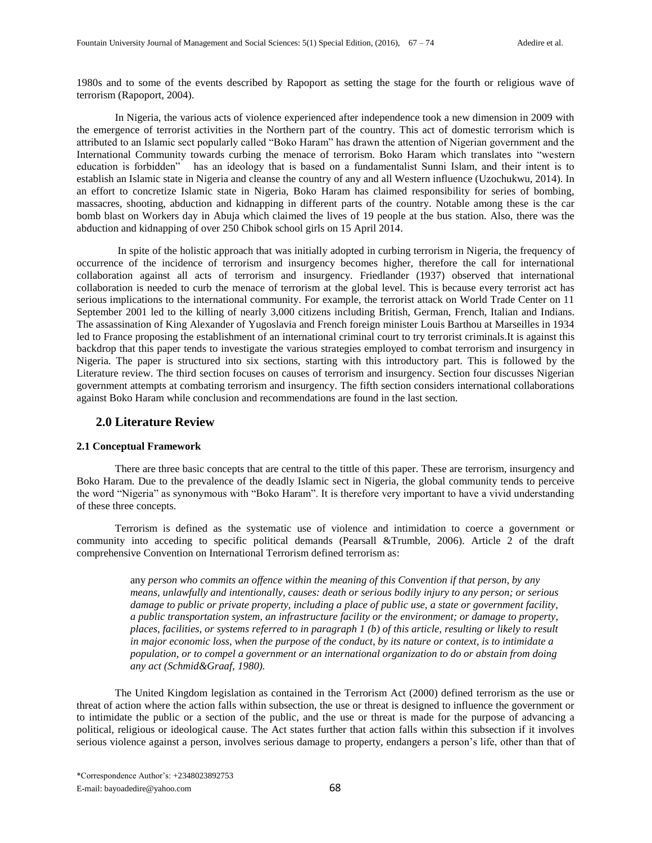1980s and to some of the events described by Rapoport as setting the stage for the fourth or religious wave of terrorism (Rapoport, 2004).

In Nigeria, the various acts of violence experienced after independence took a new dimension in 2009 with the emergence of terrorist activities in the Northern part of the country. This act of domestic terrorism which is attributed to an Islamic sect popularly called "Boko Haram" has drawn the attention of Nigerian government and the International Community towards curbing the menace of terrorism. Boko Haram which translates into "western education is forbidden" has an ideology that is based on a fundamentalist Sunni Islam, and their intent is to establish an Islamic state in Nigeria and cleanse the country of any and all Western influence (Uzochukwu, 2014). In an effort to concretize Islamic state in Nigeria, Boko Haram has claimed responsibility for series of bombing, massacres, shooting, abduction and kidnapping in different parts of the country. Notable among these is the car bomb blast on Workers day in Abuja which claimed the lives of 19 people at the bus station. Also, there was the abduction and kidnapping of over 250 Chibok school girls on 15 April 2014.

 In spite of the holistic approach that was initially adopted in curbing terrorism in Nigeria, the frequency of occurrence of the incidence of terrorism and insurgency becomes higher, therefore the call for international collaboration against all acts of terrorism and insurgency. Friedlander (1937) observed that international collaboration is needed to curb the menace of terrorism at the global level. This is because every terrorist act has serious implications to the international community. For example, the terrorist attack on World Trade Center on 11 September 2001 led to the killing of nearly 3,000 citizens including British, German, French, Italian and Indians. The assassination of King Alexander of Yugoslavia and French foreign minister Louis Barthou at Marseilles in 1934 led to France proposing the establishment of an international criminal court to try terrorist criminals.It is against this backdrop that this paper tends to investigate the various strategies employed to combat terrorism and insurgency in Nigeria. The paper is structured into six sections, starting with this introductory part. This is followed by the Literature review. The third section focuses on causes of terrorism and insurgency. Section four discusses Nigerian government attempts at combating terrorism and insurgency. The fifth section considers international collaborations against Boko Haram while conclusion and recommendations are found in the last section.

### **2.0 Literature Review**

#### **2.1 Conceptual Framework**

There are three basic concepts that are central to the tittle of this paper. These are terrorism, insurgency and Boko Haram. Due to the prevalence of the deadly Islamic sect in Nigeria, the global community tends to perceive the word "Nigeria" as synonymous with "Boko Haram". It is therefore very important to have a vivid understanding of these three concepts.

 Terrorism is defined as the systematic use of violence and intimidation to coerce a government or community into acceding to specific political demands (Pearsall &Trumble, 2006). Article 2 of the draft comprehensive Convention on International Terrorism defined terrorism as:

> any *person who commits an offence within the meaning of this Convention if that person, by any means, unlawfully and intentionally, causes: death or serious bodily injury to any person; or serious damage to public or private property, including a place of public use, a state or government facility, a public transportation system, an infrastructure facility or the environment; or damage to property, places, facilities, or systems referred to in paragraph 1 (b) of this article, resulting or likely to result in major economic loss, when the purpose of the conduct, by its nature or context, is to intimidate a population, or to compel a government or an international organization to do or abstain from doing any act (Schmid&Graaf, 1980).*

The United Kingdom legislation as contained in the Terrorism Act (2000) defined terrorism as the use or threat of action where the action falls within subsection, the use or threat is designed to influence the government or to intimidate the public or a section of the public, and the use or threat is made for the purpose of advancing a political, religious or ideological cause. The Act states further that action falls within this subsection if it involves serious violence against a person, involves serious damage to property, endangers a person's life, other than that of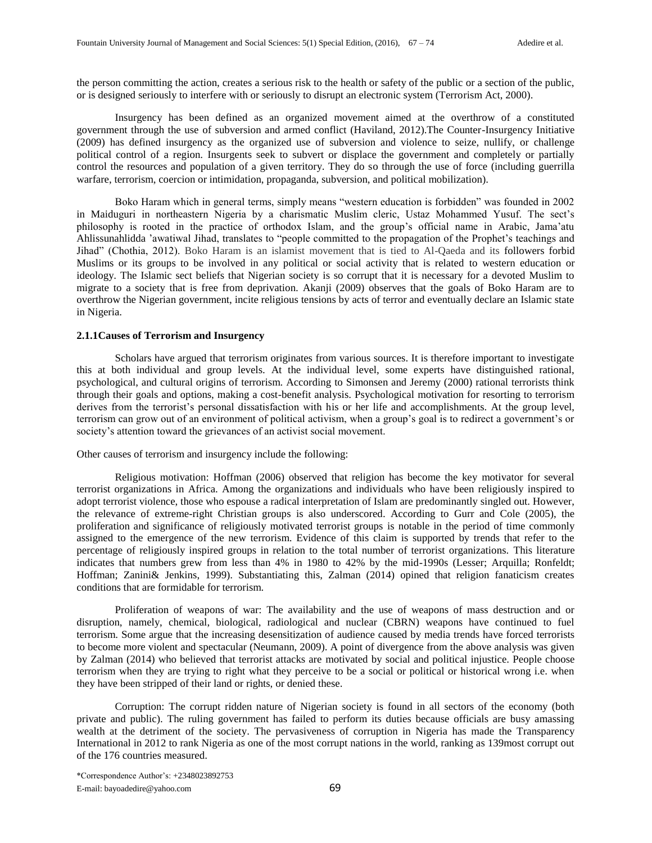the person committing the action, creates a serious risk to the health or safety of the public or a section of the public, or is designed seriously to interfere with or seriously to disrupt an electronic system (Terrorism Act, 2000).

Insurgency has been defined as an organized movement aimed at the overthrow of a constituted government through the use of subversion and armed conflict (Haviland, 2012).The Counter-Insurgency Initiative (2009) has defined insurgency as the organized use of subversion and violence to seize, nullify, or challenge political control of a region. Insurgents seek to subvert or displace the government and completely or partially control the resources and population of a given territory. They do so through the use of force (including guerrilla warfare, terrorism, coercion or intimidation, propaganda, subversion, and political mobilization).

Boko Haram which in general terms, simply means "western education is forbidden" was founded in 2002 in Maiduguri in northeastern Nigeria by a charismatic Muslim cleric, Ustaz Mohammed Yusuf. The sect's philosophy is rooted in the practice of orthodox Islam, and the group's official name in Arabic, Jama'atu Ahlissunahlidda 'awatiwal Jihad, translates to "people committed to the propagation of the Prophet's teachings and Jihad" (Chothia, 2012). Boko Haram is an islamist movement that is tied to Al-Qaeda and its followers forbid Muslims or its groups to be involved in any political or social activity that is related to western education or ideology. The Islamic sect beliefs that Nigerian society is so corrupt that it is necessary for a devoted Muslim to migrate to a society that is free from deprivation. Akanji (2009) observes that the goals of Boko Haram are to overthrow the Nigerian government, incite religious tensions by acts of terror and eventually declare an Islamic state in Nigeria.

#### **2.1.1Causes of Terrorism and Insurgency**

Scholars have argued that terrorism originates from various sources. It is therefore important to investigate this at both individual and group levels. At the individual level, some experts have distinguished rational, psychological, and cultural origins of terrorism. According to Simonsen and Jeremy (2000) rational terrorists think through their goals and options, making a cost-benefit analysis. Psychological motivation for resorting to terrorism derives from the terrorist's personal dissatisfaction with his or her life and accomplishments. At the group level, terrorism can grow out of an environment of political activism, when a group's goal is to redirect a government's or society's attention toward the grievances of an activist social movement.

Other causes of terrorism and insurgency include the following:

Religious motivation: Hoffman (2006) observed that religion has become the key motivator for several terrorist organizations in Africa. Among the organizations and individuals who have been religiously inspired to adopt terrorist violence, those who espouse a radical interpretation of Islam are predominantly singled out. However, the relevance of extreme-right Christian groups is also underscored. According to Gurr and Cole (2005), the proliferation and significance of religiously motivated terrorist groups is notable in the period of time commonly assigned to the emergence of the new terrorism. Evidence of this claim is supported by trends that refer to the percentage of religiously inspired groups in relation to the total number of terrorist organizations. This literature indicates that numbers grew from less than 4% in 1980 to 42% by the mid-1990s (Lesser; Arquilla; Ronfeldt; Hoffman; Zanini& Jenkins, 1999). Substantiating this, Zalman (2014) opined that religion fanaticism creates conditions that are formidable for terrorism.

Proliferation of weapons of war: The availability and the use of weapons of mass destruction and or disruption, namely, chemical, biological, radiological and nuclear (CBRN) weapons have continued to fuel terrorism. Some argue that the increasing desensitization of audience caused by media trends have forced terrorists to become more violent and spectacular (Neumann, 2009). A point of divergence from the above analysis was given by Zalman (2014) who believed that terrorist attacks are motivated by social and political injustice. People choose terrorism when they are trying to right what they perceive to be a social or political or historical wrong i.e. when they have been stripped of their land or rights, or denied these.

Corruption: The corrupt ridden nature of Nigerian society is found in all sectors of the economy (both private and public). The ruling government has failed to perform its duties because officials are busy amassing wealth at the detriment of the society. The pervasiveness of corruption in Nigeria has made the Transparency International in 2012 to rank Nigeria as one of the most corrupt nations in the world, ranking as 139most corrupt out of the 176 countries measured.

\*Correspondence Author's: +2348023892753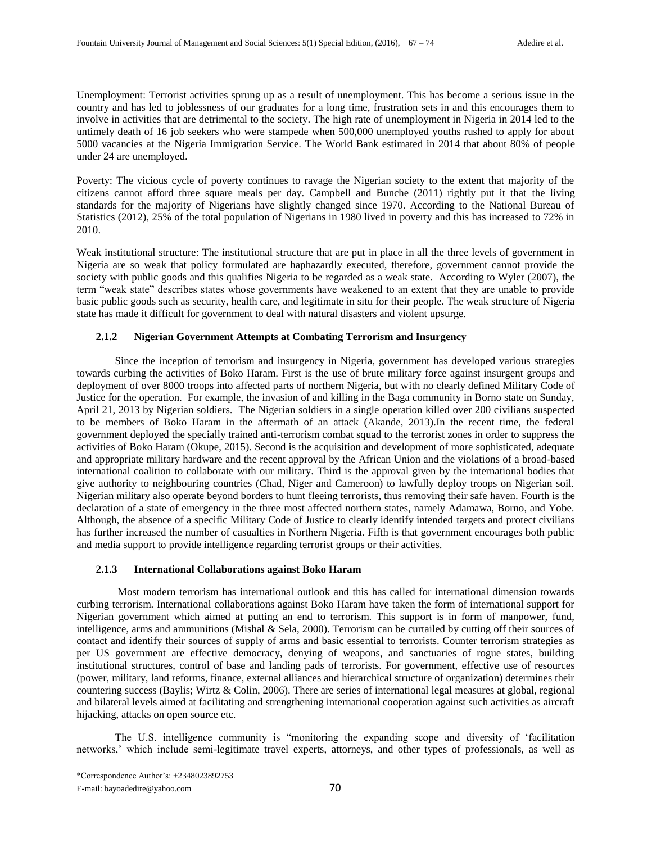Unemployment: Terrorist activities sprung up as a result of unemployment. This has become a serious issue in the country and has led to joblessness of our graduates for a long time, frustration sets in and this encourages them to involve in activities that are detrimental to the society. The high rate of unemployment in Nigeria in 2014 led to the untimely death of 16 job seekers who were stampede when 500,000 unemployed youths rushed to apply for about 5000 vacancies at the Nigeria Immigration Service. The World Bank estimated in 2014 that about 80% of people under 24 are unemployed.

Poverty: The vicious cycle of poverty continues to ravage the Nigerian society to the extent that majority of the citizens cannot afford three square meals per day. Campbell and Bunche (2011) rightly put it that the living standards for the majority of Nigerians have slightly changed since 1970. According to the National Bureau of Statistics (2012), 25% of the total population of Nigerians in 1980 lived in poverty and this has increased to 72% in 2010.

Weak institutional structure: The institutional structure that are put in place in all the three levels of government in Nigeria are so weak that policy formulated are haphazardly executed, therefore, government cannot provide the society with public goods and this qualifies Nigeria to be regarded as a weak state. According to Wyler (2007), the term "weak state" describes states whose governments have weakened to an extent that they are unable to provide basic public goods such as security, health care, and legitimate in situ for their people. The weak structure of Nigeria state has made it difficult for government to deal with natural disasters and violent upsurge.

#### **2.1.2 Nigerian Government Attempts at Combating Terrorism and Insurgency**

 Since the inception of terrorism and insurgency in Nigeria, government has developed various strategies towards curbing the activities of Boko Haram. First is the use of brute military force against insurgent groups and deployment of over 8000 troops into affected parts of northern Nigeria, but with no clearly defined Military Code of Justice for the operation. For example, the invasion of and killing in the Baga community in Borno state on Sunday, April 21, 2013 by Nigerian soldiers. The Nigerian soldiers in a single operation killed over 200 civilians suspected to be members of Boko Haram in the aftermath of an attack (Akande, 2013).In the recent time, the federal government deployed the specially trained anti-terrorism combat squad to the terrorist zones in order to suppress the activities of Boko Haram (Okupe, 2015). Second is the acquisition and development of more sophisticated, adequate and appropriate military hardware and the recent approval by the African Union and the violations of a broad-based international coalition to collaborate with our military. Third is the approval given by the international bodies that give authority to neighbouring countries (Chad, Niger and Cameroon) to lawfully deploy troops on Nigerian soil. Nigerian military also operate beyond borders to hunt fleeing terrorists, thus removing their safe haven. Fourth is the declaration of a state of emergency in the three most affected northern states, namely Adamawa, Borno, and Yobe. Although, the absence of a specific Military Code of Justice to clearly identify intended targets and protect civilians has further increased the number of casualties in Northern Nigeria. Fifth is that government encourages both public and media support to provide intelligence regarding terrorist groups or their activities.

#### **2.1.3 International Collaborations against Boko Haram**

 Most modern terrorism has international outlook and this has called for international dimension towards curbing terrorism. International collaborations against Boko Haram have taken the form of international support for Nigerian government which aimed at putting an end to terrorism. This support is in form of manpower, fund, intelligence, arms and ammunitions (Mishal & Sela, 2000). Terrorism can be curtailed by cutting off their sources of contact and identify their sources of supply of arms and basic essential to terrorists. Counter terrorism strategies as per US government are effective democracy, denying of weapons, and sanctuaries of rogue states, building institutional structures, control of base and landing pads of terrorists. For government, effective use of resources (power, military, land reforms, finance, external alliances and hierarchical structure of organization) determines their countering success (Baylis; Wirtz & Colin, 2006). There are series of international legal measures at global, regional and bilateral levels aimed at facilitating and strengthening international cooperation against such activities as aircraft hijacking, attacks on open source etc.

 The U.S. intelligence community is "monitoring the expanding scope and diversity of 'facilitation networks,' which include semi-legitimate travel experts, attorneys, and other types of professionals, as well as

\*Correspondence Author's: +2348023892753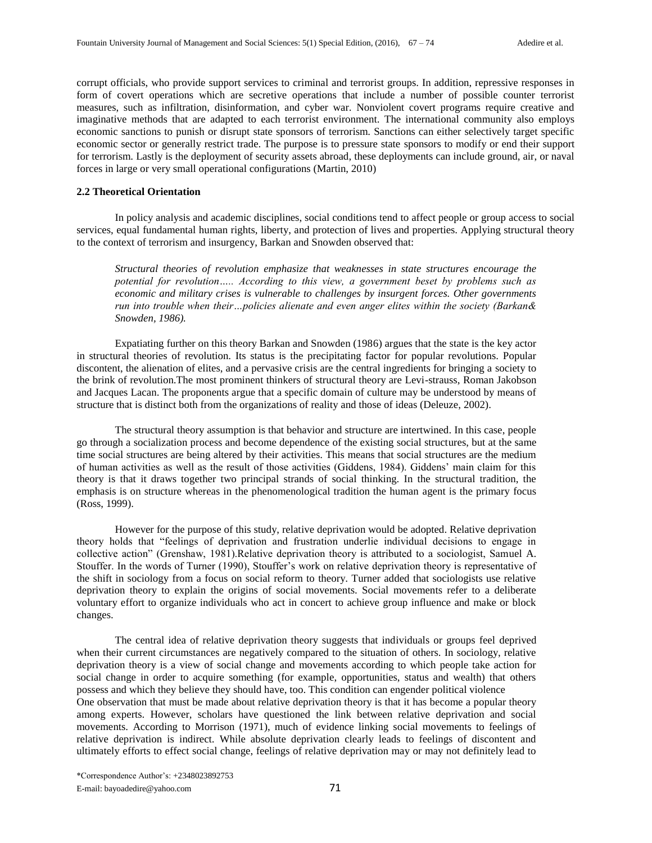corrupt officials, who provide support services to criminal and terrorist groups. In addition, repressive responses in form of covert operations which are secretive operations that include a number of possible counter terrorist measures, such as infiltration, disinformation, and cyber war. Nonviolent covert programs require creative and imaginative methods that are adapted to each terrorist environment. The international community also employs economic sanctions to punish or disrupt state sponsors of terrorism. Sanctions can either selectively target specific economic sector or generally restrict trade. The purpose is to pressure state sponsors to modify or end their support for terrorism. Lastly is the deployment of security assets abroad, these deployments can include ground, air, or naval forces in large or very small operational configurations (Martin, 2010)

#### **2.2 Theoretical Orientation**

In policy analysis and academic disciplines, social conditions tend to affect people or group access to social services, equal fundamental human rights, liberty, and protection of lives and properties. Applying structural theory to the context of terrorism and insurgency, Barkan and Snowden observed that:

*Structural theories of revolution emphasize that weaknesses in state structures encourage the potential for revolution….. According to this view, a government beset by problems such as economic and military crises is vulnerable to challenges by insurgent forces. Other governments run into trouble when their…policies alienate and even anger elites within the society (Barkan& Snowden, 1986).*

Expatiating further on this theory Barkan and Snowden (1986) argues that the state is the key actor in structural theories of revolution. Its status is the precipitating factor for popular revolutions. Popular discontent, the alienation of elites, and a pervasive crisis are the central ingredients for bringing a society to the brink of revolution.The most prominent thinkers of structural theory are Levi-strauss, Roman Jakobson and Jacques Lacan. The proponents argue that a specific domain of culture may be understood by means of structure that is distinct both from the organizations of reality and those of ideas (Deleuze, 2002).

The structural theory assumption is that behavior and structure are intertwined. In this case, people go through a socialization process and become dependence of the existing social structures, but at the same time social structures are being altered by their activities. This means that social structures are the medium of human activities as well as the result of those activities (Giddens, 1984). Giddens' main claim for this theory is that it draws together two principal strands of social thinking. In the structural tradition, the emphasis is on structure whereas in the phenomenological tradition the human agent is the primary focus (Ross, 1999).

However for the purpose of this study, relative deprivation would be adopted. Relative deprivation theory holds that "feelings of deprivation and frustration underlie individual decisions to engage in collective action" (Grenshaw, 1981).Relative deprivation theory is attributed to a sociologist, Samuel A. Stouffer. In the words of Turner (1990), Stouffer's work on relative deprivation theory is representative of the shift in sociology from a focus on social reform to theory. Turner added that sociologists use relative deprivation theory to explain the origins of social movements. Social movements refer to a deliberate voluntary effort to organize individuals who act in concert to achieve group influence and make or block changes.

 The central idea of relative deprivation theory suggests that individuals or groups feel deprived when their current circumstances are negatively compared to the situation of others. In sociology, relative deprivation theory is a view of social change and movements according to which people take action for social change in order to acquire something (for example, opportunities, status and wealth) that others possess and which they believe they should have, too. This condition can engender political violence One observation that must be made about relative deprivation theory is that it has become a popular theory among experts. However, scholars have questioned the link between relative deprivation and social movements. According to Morrison (1971), much of evidence linking social movements to feelings of relative deprivation is indirect. While absolute deprivation clearly leads to feelings of discontent and ultimately efforts to effect social change, feelings of relative deprivation may or may not definitely lead to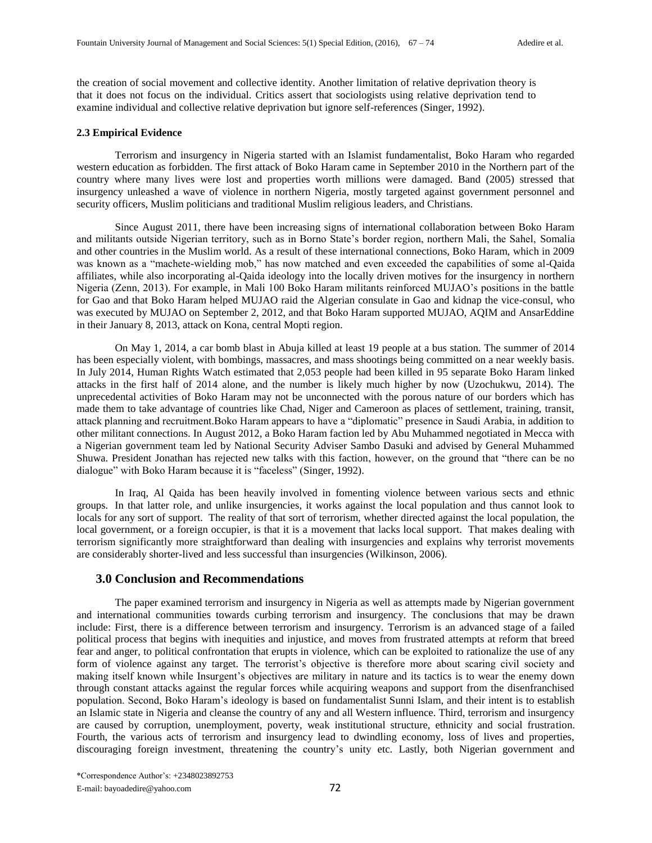the creation of social movement and collective identity. Another limitation of relative deprivation theory is that it does not focus on the individual. Critics assert that sociologists using relative deprivation tend to examine individual and collective relative deprivation but ignore self-references (Singer, 1992).

#### **2.3 Empirical Evidence**

Terrorism and insurgency in Nigeria started with an Islamist fundamentalist, Boko Haram who regarded western education as forbidden. The first attack of Boko Haram came in September 2010 in the Northern part of the country where many lives were lost and properties worth millions were damaged. Band (2005) stressed that insurgency unleashed a wave of violence in northern Nigeria, mostly targeted against government personnel and security officers, Muslim politicians and traditional Muslim religious leaders, and Christians.

Since August 2011, there have been increasing signs of international collaboration between Boko Haram and militants outside Nigerian territory, such as in Borno State's border region, northern Mali, the Sahel, Somalia and other countries in the Muslim world. As a result of these international connections, Boko Haram, which in 2009 was known as a "machete-wielding mob," has now matched and even exceeded the capabilities of some al-Qaida affiliates, while also incorporating al-Qaida ideology into the locally driven motives for the insurgency in northern Nigeria (Zenn, 2013). For example, in Mali 100 Boko Haram militants reinforced MUJAO's positions in the battle for Gao and that Boko Haram helped MUJAO raid the Algerian consulate in Gao and kidnap the vice-consul, who was executed by MUJAO on September 2, 2012, and that Boko Haram supported MUJAO, AQIM and AnsarEddine in their January 8, 2013, attack on Kona, central Mopti region.

On May 1, 2014, a car bomb blast in Abuja killed at least 19 people at a bus station. The summer of 2014 has been especially violent, with bombings, massacres, and mass shootings being committed on a near weekly basis. In July 2014, Human Rights Watch estimated that 2,053 people had been killed in 95 separate Boko Haram linked attacks in the first half of 2014 alone, and the number is likely much higher by now (Uzochukwu, 2014). The unprecedental activities of Boko Haram may not be unconnected with the porous nature of our borders which has made them to take advantage of countries like Chad, Niger and Cameroon as places of settlement, training, transit, attack planning and recruitment.Boko Haram appears to have a "diplomatic" presence in Saudi Arabia, in addition to other militant connections. In August 2012, a Boko Haram faction led by Abu Muhammed negotiated in Mecca with a Nigerian government team led by National Security Adviser Sambo Dasuki and advised by General Muhammed Shuwa. President Jonathan has rejected new talks with this faction, however, on the ground that "there can be no dialogue" with Boko Haram because it is "faceless" (Singer, 1992).

In Iraq, Al Qaida has been heavily involved in fomenting violence between various sects and ethnic groups. In that latter role, and unlike insurgencies, it works against the local population and thus cannot look to locals for any sort of support. The reality of that sort of terrorism, whether directed against the local population, the local government, or a foreign occupier, is that it is a movement that lacks local support. That makes dealing with terrorism significantly more straightforward than dealing with insurgencies and explains why terrorist movements are considerably shorter-lived and less successful than insurgencies (Wilkinson, 2006).

### **3.0 Conclusion and Recommendations**

The paper examined terrorism and insurgency in Nigeria as well as attempts made by Nigerian government and international communities towards curbing terrorism and insurgency. The conclusions that may be drawn include: First, there is a difference between terrorism and insurgency. Terrorism is an advanced stage of a failed political process that begins with inequities and injustice, and moves from frustrated attempts at reform that breed fear and anger, to political confrontation that erupts in violence, which can be exploited to rationalize the use of any form of violence against any target. The terrorist's objective is therefore more about scaring civil society and making itself known while Insurgent's objectives are military in nature and its tactics is to wear the enemy down through constant attacks against the regular forces while acquiring weapons and support from the disenfranchised population. Second, Boko Haram's ideology is based on fundamentalist Sunni Islam, and their intent is to establish an Islamic state in Nigeria and cleanse the country of any and all Western influence. Third, terrorism and insurgency are caused by corruption, unemployment, poverty, weak institutional structure, ethnicity and social frustration. Fourth, the various acts of terrorism and insurgency lead to dwindling economy, loss of lives and properties, discouraging foreign investment, threatening the country's unity etc. Lastly, both Nigerian government and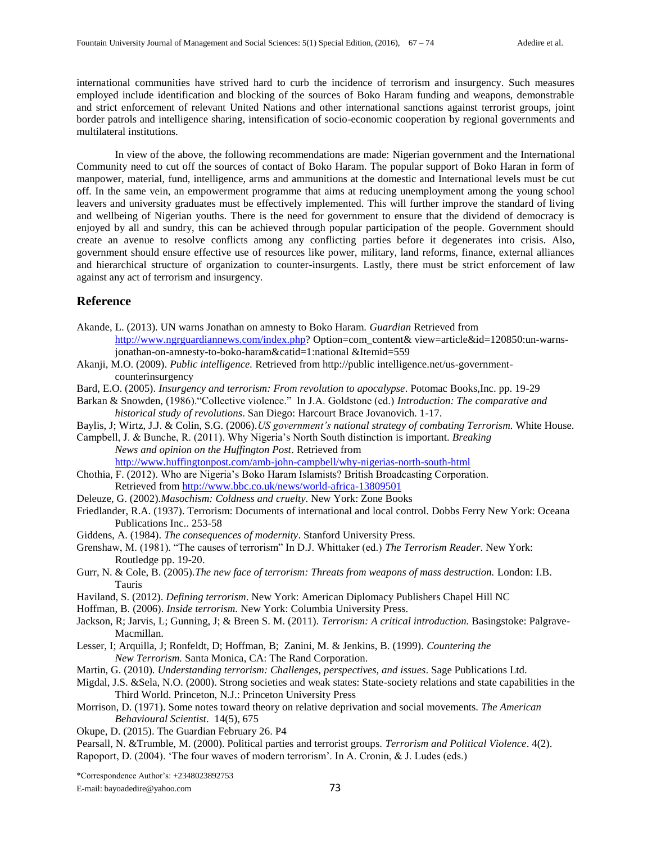international communities have strived hard to curb the incidence of terrorism and insurgency. Such measures employed include identification and blocking of the sources of Boko Haram funding and weapons, demonstrable and strict enforcement of relevant United Nations and other international sanctions against terrorist groups, joint border patrols and intelligence sharing, intensification of socio-economic cooperation by regional governments and multilateral institutions.

 In view of the above, the following recommendations are made: Nigerian government and the International Community need to cut off the sources of contact of Boko Haram. The popular support of Boko Haran in form of manpower, material, fund, intelligence, arms and ammunitions at the domestic and International levels must be cut off. In the same vein, an empowerment programme that aims at reducing unemployment among the young school leavers and university graduates must be effectively implemented. This will further improve the standard of living and wellbeing of Nigerian youths. There is the need for government to ensure that the dividend of democracy is enjoyed by all and sundry, this can be achieved through popular participation of the people. Government should create an avenue to resolve conflicts among any conflicting parties before it degenerates into crisis. Also, government should ensure effective use of resources like power, military, land reforms, finance, external alliances and hierarchical structure of organization to counter-insurgents. Lastly, there must be strict enforcement of law against any act of terrorism and insurgency.

## **Reference**

- Akande, L. (2013). UN warns Jonathan on amnesty to Boko Haram. *Guardian* Retrieved from [http://www.ngrguardiannews.com/index.php?](http://www.ngrguardiannews.com/index.php) Option=com\_content& view=article&id=120850:un-warnsjonathan-on-amnesty-to-boko-haram&catid=1:national &Itemid=559
- Akanji, M.O. (2009). *Public intelligence.* Retrieved from http://public intelligence.net/us-governmentcounterinsurgency
- Bard, E.O. (2005). *Insurgency and terrorism: From revolution to apocalypse*. Potomac Books,Inc. pp. 19-29
- Barkan & Snowden, (1986)."Collective violence." In J.A. Goldstone (ed.) *Introduction: The comparative and historical study of revolutions*. San Diego: Harcourt Brace Jovanovich. 1-17.
- Baylis, J; Wirtz, J.J. & Colin, S.G. (2006).*US government's national strategy of combating Terrorism.* White House.

Campbell, J. & Bunche, R. (2011). Why Nigeria's North South distinction is important. *Breaking News and opinion on the Huffington Post*. Retrieved from

<http://www.huffingtonpost.com/amb-john-campbell/why-nigerias-north-south-html>

Chothia, F. (2012). Who are Nigeria's Boko Haram Islamists? British Broadcasting Corporation. Retrieved from<http://www.bbc.co.uk/news/world-africa-13809501>

- Deleuze, G. (2002).*Masochism: Coldness and cruelty*. New York: Zone Books
- Friedlander, R.A. (1937). Terrorism: Documents of international and local control. Dobbs Ferry New York: Oceana Publications Inc.. 253-58
- Giddens, A. (1984). *The consequences of modernity*. Stanford University Press.

Grenshaw, M. (1981). "The causes of terrorism" In D.J. Whittaker (ed.) *The Terrorism Reader*. New York: Routledge pp. 19-20.

- Gurr, N. & Cole, B. (2005).*The new face of terrorism: Threats from weapons of mass destruction.* London: I.B. Tauris
- Haviland, S. (2012). *Defining terrorism*. New York: American Diplomacy Publishers Chapel Hill NC
- Hoffman, B. (2006). *Inside terrorism.* New York: Columbia University Press.
- Jackson, R; Jarvis, L; Gunning, J; & Breen S. M. (2011). *Terrorism: A critical introduction.* Basingstoke: Palgrave-Macmillan.
- Lesser, I; Arquilla, J; Ronfeldt, D; Hoffman, B; Zanini, M. & Jenkins, B. (1999). *Countering the New Terrorism.* Santa Monica, CA: The Rand Corporation.
- Martin, G. (2010). *Understanding terrorism: Challenges, perspectives, and issues*. Sage Publications Ltd.
- Migdal, J.S. &Sela, N.O. (2000). Strong societies and weak states: State-society relations and state capabilities in the Third World. Princeton, N.J.: Princeton University Press
- Morrison, D. (1971). Some notes toward theory on relative deprivation and social movements. *The American Behavioural Scientist*. 14(5), 675
- Okupe, D. (2015). The Guardian February 26. P4
- Pearsall, N. &Trumble, M. (2000). Political parties and terrorist groups. *Terrorism and Political Violence*. 4(2).
- Rapoport, D. (2004). 'The four waves of modern terrorism'. In A. Cronin, & J. Ludes (eds.)

\*Correspondence Author's: +2348023892753